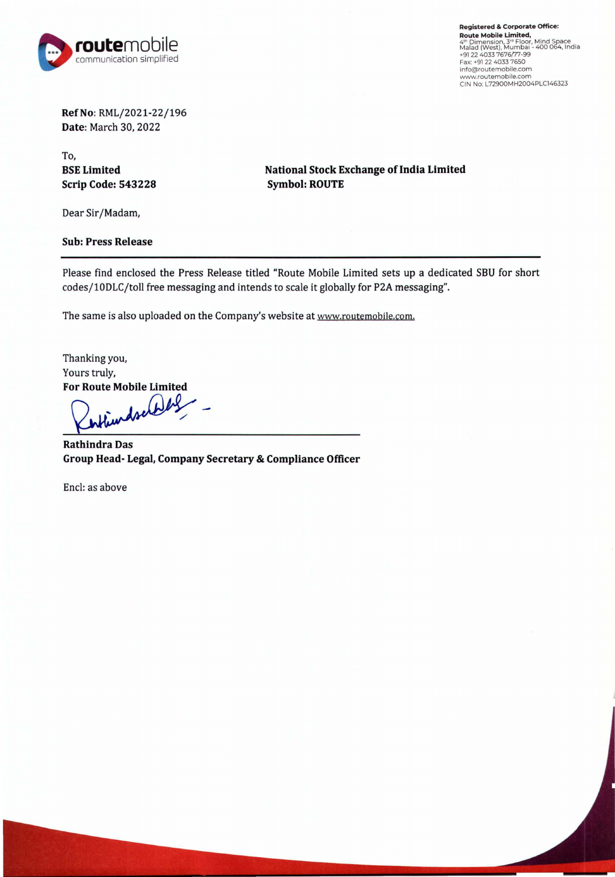

**Registered** & **Corporate Office: Route Mobile Limited,<br>4<sup>th</sup> Dimension, 3ª Floor, Mind Space<br>Malad (West), Mumbai - 400 064, India<br>+91 22 4033 7676/77-99** Fax: +91 22 4033 7650 info@routemobi le.com **www.routemobile.com**  CIN No: L72900MH2004PLC146323

**RefNo:** RML/2021-22/196 **Date:** March 30, 2022

To, **BSE Limited Scrip Code: 543228** 

**National Stock Exchange of India Limited Symbol: ROUTE** 

Dear Sir/Madam,

**Sub: Press Release** 

Please find enclosed the Press Release titled "Route Mobile Limited sets up a dedicated SBU for short codes/l0DLC/toll free messaging and intends to scale it globally for P2A messaging".

The same is also uploaded on the Company's website at www.routemobile.com.

Thanking you, Yours truly, **For Route Mobile Limited** 

~ **Das** 

**Rathindra Group Head- Legal, Company Secretary & Compliance Officer** 

Encl: as above